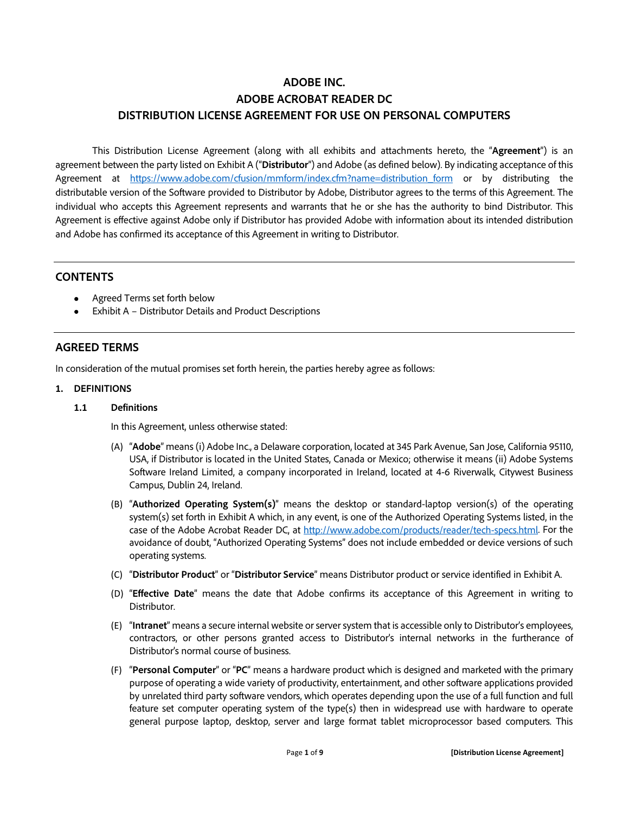# **ADOBE INC. ADOBE ACROBAT READER DC DISTRIBUTION LICENSE AGREEMENT FOR USE ON PERSONAL COMPUTERS**

This Distribution License Agreement (along with all exhibits and attachments hereto, the "**Agreement**") is an agreement between the party listed on Exhibit A ("**Distributor**") and Adobe (as defined below). By indicating acceptance of this Agreement at [https://www.adobe.com/cfusion/mmform/index.cfm?name=distribution\\_form](https://www.adobe.com/cfusion/mmform/index.cfm?name=distribution_form) or by distributing the distributable version of the Software provided to Distributor by Adobe, Distributor agrees to the terms of this Agreement. The individual who accepts this Agreement represents and warrants that he or she has the authority to bind Distributor. This Agreement is effective against Adobe only if Distributor has provided Adobe with information about its intended distribution and Adobe has confirmed its acceptance of this Agreement in writing to Distributor.

## **CONTENTS**

- Agreed Terms set forth below
- Exhibit A Distributor Details and Product Descriptions

## **AGREED TERMS**

In consideration of the mutual promises set forth herein, the parties hereby agree as follows:

## **1. DEFINITIONS**

#### **1.1 Definitions**

In this Agreement, unless otherwise stated:

- (A) "**Adobe**" means (i) Adobe Inc., a Delaware corporation, located at 345 Park Avenue, San Jose, California 95110, USA, if Distributor is located in the United States, Canada or Mexico; otherwise it means (ii) Adobe Systems Software Ireland Limited, a company incorporated in Ireland, located at 4-6 Riverwalk, Citywest Business Campus, Dublin 24, Ireland.
- (B) "**Authorized Operating System(s)**" means the desktop or standard-laptop version(s) of the operating system(s) set forth in Exhibit A which, in any event, is one of the Authorized Operating Systems listed, in the case of the Adobe Acrobat Reader DC, at [http://www.adobe.com/products/reader/tech-specs.html.](http://www.adobe.com/products/reader/tech-specs.html) For the avoidance of doubt, "Authorized Operating Systems" does not include embedded or device versions of such operating systems.
- (C) "**Distributor Product**" or "**Distributor Service**" means Distributor product or service identified in Exhibit A.
- (D) "**Effective Date**" means the date that Adobe confirms its acceptance of this Agreement in writing to Distributor.
- (E) "**Intranet**" means a secure internal website or server system that is accessible only to Distributor's employees, contractors, or other persons granted access to Distributor's internal networks in the furtherance of Distributor's normal course of business.
- (F) "**Personal Computer**" or "**PC**" means a hardware product which is designed and marketed with the primary purpose of operating a wide variety of productivity, entertainment, and other software applications provided by unrelated third party software vendors, which operates depending upon the use of a full function and full feature set computer operating system of the type(s) then in widespread use with hardware to operate general purpose laptop, desktop, server and large format tablet microprocessor based computers. This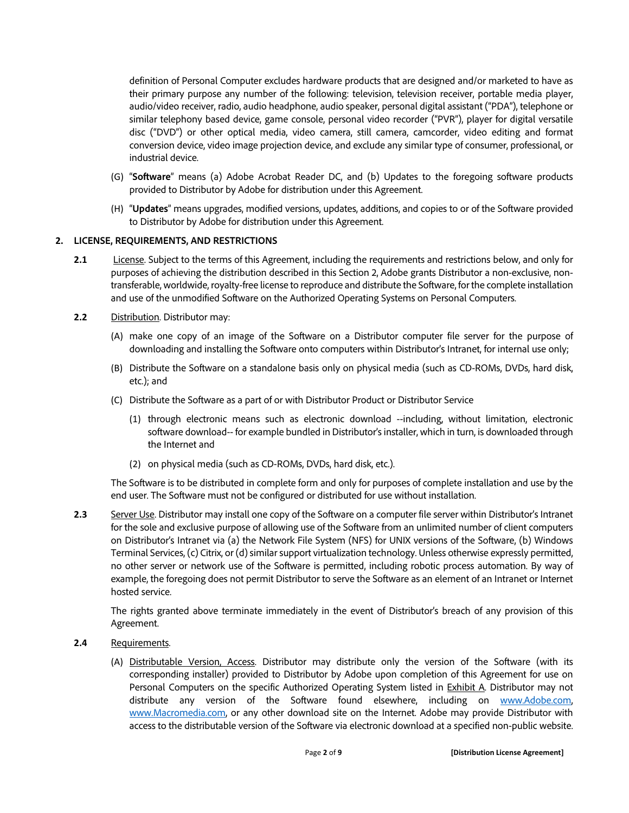definition of Personal Computer excludes hardware products that are designed and/or marketed to have as their primary purpose any number of the following: television, television receiver, portable media player, audio/video receiver, radio, audio headphone, audio speaker, personal digital assistant ("PDA"), telephone or similar telephony based device, game console, personal video recorder ("PVR"), player for digital versatile disc ("DVD") or other optical media, video camera, still camera, camcorder, video editing and format conversion device, video image projection device, and exclude any similar type of consumer, professional, or industrial device.

- (G) "**Software**" means (a) Adobe Acrobat Reader DC, and (b) Updates to the foregoing software products provided to Distributor by Adobe for distribution under this Agreement.
- (H) "**Updates**" means upgrades, modified versions, updates, additions, and copies to or of the Software provided to Distributor by Adobe for distribution under this Agreement.

#### <span id="page-1-0"></span>**2. LICENSE, REQUIREMENTS, AND RESTRICTIONS**

- **2.1** License. Subject to the terms of this Agreement, including the requirements and restrictions below, and only for purposes of achieving the distribution described in this Section 2, Adobe grants Distributor a non-exclusive, nontransferable, worldwide, royalty-free license to reproduce and distribute the Software, for the complete installation and use of the unmodified Software on the Authorized Operating Systems on Personal Computers.
- **2.2** Distribution. Distributor may:
	- (A) make one copy of an image of the Software on a Distributor computer file server for the purpose of downloading and installing the Software onto computers within Distributor's Intranet, for internal use only;
	- (B) Distribute the Software on a standalone basis only on physical media (such as CD-ROMs, DVDs, hard disk, etc.); and
	- (C) Distribute the Software as a part of or with Distributor Product or Distributor Service
		- (1) through electronic means such as electronic download --including, without limitation, electronic software download-- for example bundled in Distributor's installer, which in turn, is downloaded through the Internet and
		- (2) on physical media (such as CD-ROMs, DVDs, hard disk, etc.).

The Software is to be distributed in complete form and only for purposes of complete installation and use by the end user. The Software must not be configured or distributed for use without installation.

**2.3** Server Use. Distributor may install one copy of the Software on a computer file server within Distributor's Intranet for the sole and exclusive purpose of allowing use of the Software from an unlimited number of client computers on Distributor's Intranet via (a) the Network File System (NFS) for UNIX versions of the Software, (b) Windows Terminal Services, (c) Citrix, or (d) similar support virtualization technology. Unless otherwise expressly permitted, no other server or network use of the Software is permitted, including robotic process automation. By way of example, the foregoing does not permit Distributor to serve the Software as an element of an Intranet or Internet hosted service.

The rights granted above terminate immediately in the event of Distributor's breach of any provision of this Agreement.

- **2.4** Requirements.
	- (A) Distributable Version, Access. Distributor may distribute only the version of the Software (with its corresponding installer) provided to Distributor by Adobe upon completion of this Agreement for use on Personal Computers on the specific Authorized Operating System listed in Exhibit A. Distributor may not distribute any version of the Software found elsewhere, including on www.Adobe.com, [www.Macromedia.com,](www.Macromedia.com) or any other download site on the Internet. Adobe may provide Distributor with access to the distributable version of the Software via electronic download at a specified non-public website.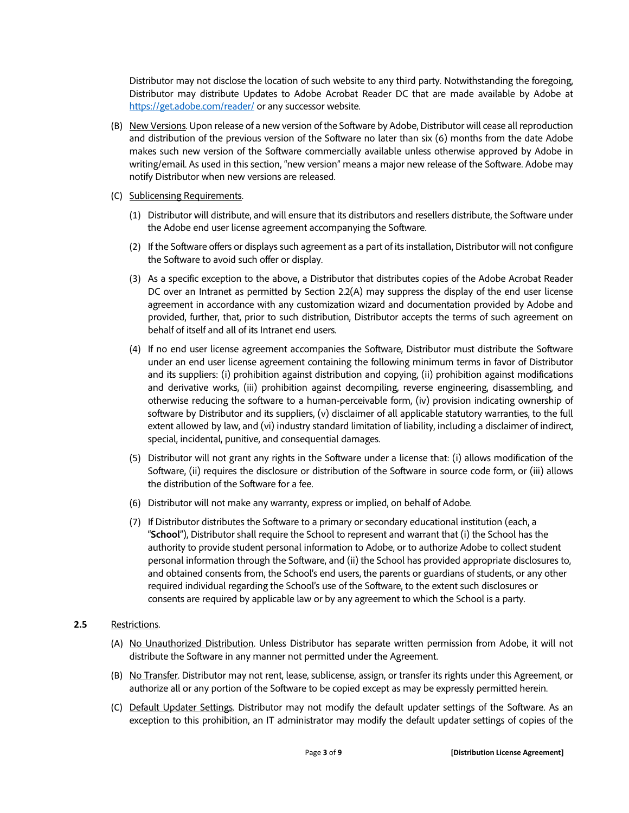Distributor may not disclose the location of such website to any third party. Notwithstanding the foregoing, Distributor may distribute Updates to Adobe Acrobat Reader DC that are made available by Adobe at <https://get.adobe.com/reader/> or any successor website.

- (B) New Versions. Upon release of a new version of the Software by Adobe, Distributor will cease all reproduction and distribution of the previous version of the Software no later than six (6) months from the date Adobe makes such new version of the Software commercially available unless otherwise approved by Adobe in writing/email. As used in this section, "new version" means a major new release of the Software. Adobe may notify Distributor when new versions are released.
- (C) Sublicensing Requirements.
	- (1) Distributor will distribute, and will ensure that its distributors and resellers distribute, the Software under the Adobe end user license agreement accompanying the Software.
	- (2) If the Software offers or displays such agreement as a part of its installation, Distributor will not configure the Software to avoid such offer or display.
	- (3) As a specific exception to the above, a Distributor that distributes copies of the Adobe Acrobat Reader DC over an Intranet as permitted by Section 2.2(A) may suppress the display of the end user license agreement in accordance with any customization wizard and documentation provided by Adobe and provided, further, that, prior to such distribution, Distributor accepts the terms of such agreement on behalf of itself and all of its Intranet end users.
	- (4) If no end user license agreement accompanies the Software, Distributor must distribute the Software under an end user license agreement containing the following minimum terms in favor of Distributor and its suppliers: (i) prohibition against distribution and copying, (ii) prohibition against modifications and derivative works, (iii) prohibition against decompiling, reverse engineering, disassembling, and otherwise reducing the software to a human-perceivable form, (iv) provision indicating ownership of software by Distributor and its suppliers, (v) disclaimer of all applicable statutory warranties, to the full extent allowed by law, and (vi) industry standard limitation of liability, including a disclaimer of indirect, special, incidental, punitive, and consequential damages.
	- (5) Distributor will not grant any rights in the Software under a license that: (i) allows modification of the Software, (ii) requires the disclosure or distribution of the Software in source code form, or (iii) allows the distribution of the Software for a fee.
	- (6) Distributor will not make any warranty, express or implied, on behalf of Adobe.
	- (7) If Distributor distributes the Software to a primary or secondary educational institution (each, a "**School**"), Distributor shall require the School to represent and warrant that (i) the School has the authority to provide student personal information to Adobe, or to authorize Adobe to collect student personal information through the Software, and (ii) the School has provided appropriate disclosures to, and obtained consents from, the School's end users, the parents or guardians of students, or any other required individual regarding the School's use of the Software, to the extent such disclosures or consents are required by applicable law or by any agreement to which the School is a party.

#### **2.5** Restrictions.

- (A) No Unauthorized Distribution. Unless Distributor has separate written permission from Adobe, it will not distribute the Software in any manner not permitted under the Agreement.
- (B) No Transfer. Distributor may not rent, lease, sublicense, assign, or transfer its rights under this Agreement, or authorize all or any portion of the Software to be copied except as may be expressly permitted herein.
- (C) Default Updater Settings. Distributor may not modify the default updater settings of the Software. As an exception to this prohibition, an IT administrator may modify the default updater settings of copies of the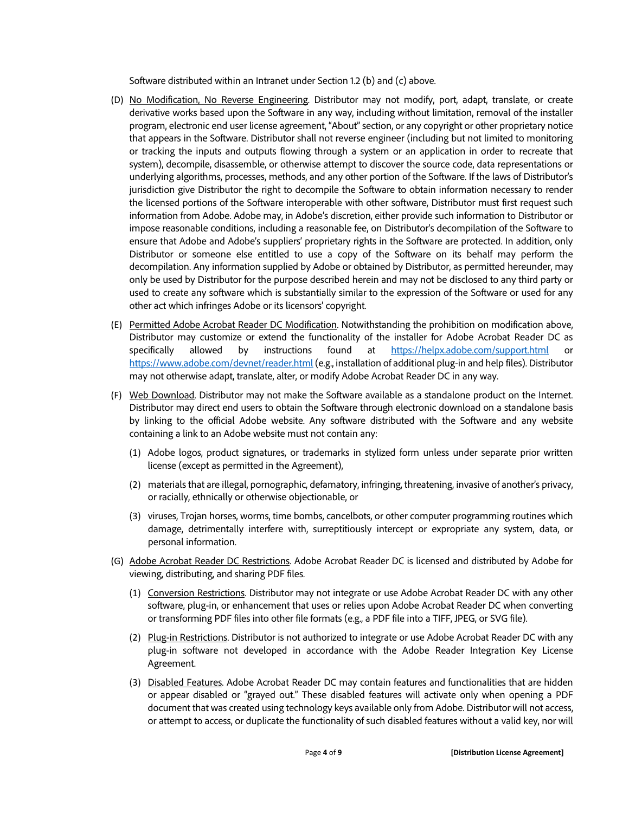Software distributed within an Intranet under Section 1.2 (b) and (c) above.

- (D) No Modification, No Reverse Engineering. Distributor may not modify, port, adapt, translate, or create derivative works based upon the Software in any way, including without limitation, removal of the installer program, electronic end user license agreement, "About" section, or any copyright or other proprietary notice that appears in the Software. Distributor shall not reverse engineer (including but not limited to monitoring or tracking the inputs and outputs flowing through a system or an application in order to recreate that system), decompile, disassemble, or otherwise attempt to discover the source code, data representations or underlying algorithms, processes, methods, and any other portion of the Software. If the laws of Distributor's jurisdiction give Distributor the right to decompile the Software to obtain information necessary to render the licensed portions of the Software interoperable with other software, Distributor must first request such information from Adobe. Adobe may, in Adobe's discretion, either provide such information to Distributor or impose reasonable conditions, including a reasonable fee, on Distributor's decompilation of the Software to ensure that Adobe and Adobe's suppliers' proprietary rights in the Software are protected. In addition, only Distributor or someone else entitled to use a copy of the Software on its behalf may perform the decompilation. Any information supplied by Adobe or obtained by Distributor, as permitted hereunder, may only be used by Distributor for the purpose described herein and may not be disclosed to any third party or used to create any software which is substantially similar to the expression of the Software or used for any other act which infringes Adobe or its licensors' copyright.
- (E) Permitted Adobe Acrobat Reader DC Modification. Notwithstanding the prohibition on modification above, Distributor may customize or extend the functionality of the installer for Adobe Acrobat Reader DC as specifically allowed by instructions found at <https://helpx.adobe.com/support.html> or <https://www.adobe.com/devnet/reader.html> (e.g., installation of additional plug-in and help files). Distributor may not otherwise adapt, translate, alter, or modify Adobe Acrobat Reader DC in any way.
- (F) Web Download. Distributor may not make the Software available as a standalone product on the Internet. Distributor may direct end users to obtain the Software through electronic download on a standalone basis by linking to the official Adobe website. Any software distributed with the Software and any website containing a link to an Adobe website must not contain any:
	- (1) Adobe logos, product signatures, or trademarks in stylized form unless under separate prior written license (except as permitted in the Agreement),
	- (2) materials that are illegal, pornographic, defamatory, infringing, threatening, invasive of another's privacy, or racially, ethnically or otherwise objectionable, or
	- (3) viruses, Trojan horses, worms, time bombs, cancelbots, or other computer programming routines which damage, detrimentally interfere with, surreptitiously intercept or expropriate any system, data, or personal information.
- (G) Adobe Acrobat Reader DC Restrictions. Adobe Acrobat Reader DC is licensed and distributed by Adobe for viewing, distributing, and sharing PDF files.
	- (1) Conversion Restrictions. Distributor may not integrate or use Adobe Acrobat Reader DC with any other software, plug-in, or enhancement that uses or relies upon Adobe Acrobat Reader DC when converting or transforming PDF files into other file formats (e.g., a PDF file into a TIFF, JPEG, or SVG file).
	- (2) Plug-in Restrictions. Distributor is not authorized to integrate or use Adobe Acrobat Reader DC with any plug-in software not developed in accordance with the Adobe Reader Integration Key License Agreement.
	- (3) Disabled Features. Adobe Acrobat Reader DC may contain features and functionalities that are hidden or appear disabled or "grayed out." These disabled features will activate only when opening a PDF document that was created using technology keys available only from Adobe. Distributor will not access, or attempt to access, or duplicate the functionality of such disabled features without a valid key, nor will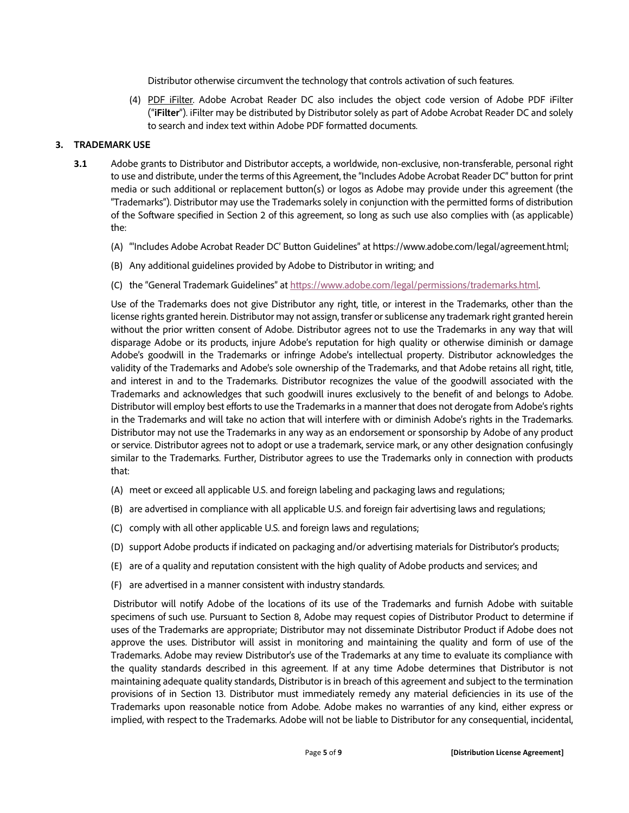Distributor otherwise circumvent the technology that controls activation of such features.

(4) PDF iFilter. Adobe Acrobat Reader DC also includes the object code version of Adobe PDF iFilter ("**iFilter**"). iFilter may be distributed by Distributor solely as part of Adobe Acrobat Reader DC and solely to search and index text within Adobe PDF formatted documents.

#### <span id="page-4-0"></span>**3. TRADEMARK USE**

- **3.1** Adobe grants to Distributor and Distributor accepts, a worldwide, non-exclusive, non-transferable, personal right to use and distribute, under the terms of this Agreement, the "Includes Adobe Acrobat Reader DC" button for print media or such additional or replacement button(s) or logos as Adobe may provide under this agreement (the "Trademarks"). Distributor may use the Trademarks solely in conjunction with the permitted forms of distribution of the Software specified in Section 2 of this agreement, so long as such use also complies with (as applicable) the:
	- (A) "'Includes Adobe Acrobat Reader DC' Button Guidelines" at https://www.adobe.com/legal/agreement.html;
	- (B) Any additional guidelines provided by Adobe to Distributor in writing; and
	- (C) the "General Trademark Guidelines" a[t https://www.adobe.com/legal/permissions/trademarks.html.](https://www.adobe.com/legal/permissions/trademarks.html)

Use of the Trademarks does not give Distributor any right, title, or interest in the Trademarks, other than the license rights granted herein. Distributor may not assign, transfer or sublicense any trademark right granted herein without the prior written consent of Adobe. Distributor agrees not to use the Trademarks in any way that will disparage Adobe or its products, injure Adobe's reputation for high quality or otherwise diminish or damage Adobe's goodwill in the Trademarks or infringe Adobe's intellectual property. Distributor acknowledges the validity of the Trademarks and Adobe's sole ownership of the Trademarks, and that Adobe retains all right, title, and interest in and to the Trademarks. Distributor recognizes the value of the goodwill associated with the Trademarks and acknowledges that such goodwill inures exclusively to the benefit of and belongs to Adobe. Distributor will employ best efforts to use the Trademarks in a manner that does not derogate from Adobe's rights in the Trademarks and will take no action that will interfere with or diminish Adobe's rights in the Trademarks. Distributor may not use the Trademarks in any way as an endorsement or sponsorship by Adobe of any product or service. Distributor agrees not to adopt or use a trademark, service mark, or any other designation confusingly similar to the Trademarks. Further, Distributor agrees to use the Trademarks only in connection with products that:

- (A) meet or exceed all applicable U.S. and foreign labeling and packaging laws and regulations;
- (B) are advertised in compliance with all applicable U.S. and foreign fair advertising laws and regulations;
- (C) comply with all other applicable U.S. and foreign laws and regulations;
- (D) support Adobe products if indicated on packaging and/or advertising materials for Distributor's products;
- (E) are of a quality and reputation consistent with the high quality of Adobe products and services; and
- (F) are advertised in a manner consistent with industry standards.

Distributor will notify Adobe of the locations of its use of the Trademarks and furnish Adobe with suitable specimens of such use. Pursuant to Section 8, Adobe may request copies of Distributor Product to determine if uses of the Trademarks are appropriate; Distributor may not disseminate Distributor Product if Adobe does not approve the uses. Distributor will assist in monitoring and maintaining the quality and form of use of the Trademarks. Adobe may review Distributor's use of the Trademarks at any time to evaluate its compliance with the quality standards described in this agreement. If at any time Adobe determines that Distributor is not maintaining adequate quality standards, Distributor is in breach of this agreement and subject to the termination provisions of in Section 13. Distributor must immediately remedy any material deficiencies in its use of the Trademarks upon reasonable notice from Adobe. Adobe makes no warranties of any kind, either express or implied, with respect to the Trademarks. Adobe will not be liable to Distributor for any consequential, incidental,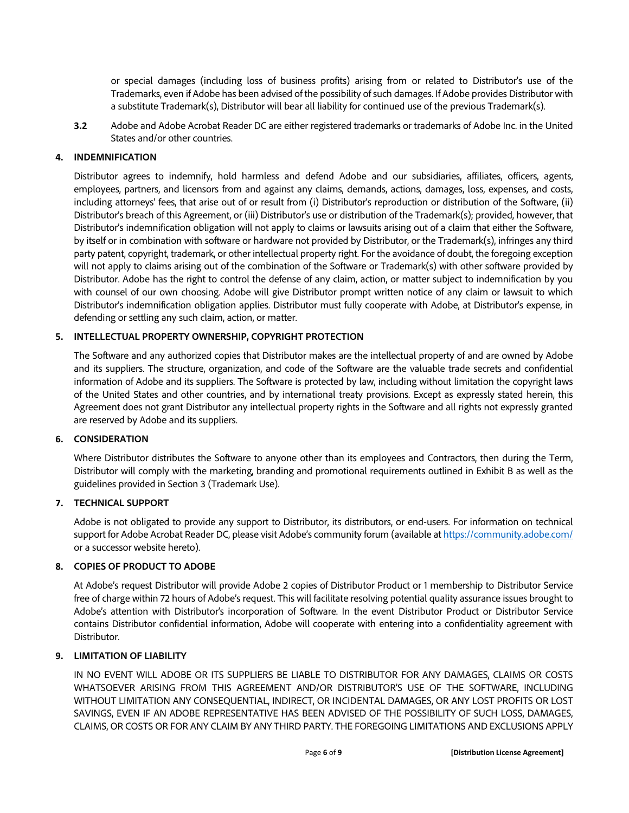or special damages (including loss of business profits) arising from or related to Distributor's use of the Trademarks, even if Adobe has been advised of the possibility of such damages. If Adobe provides Distributor with a substitute Trademark(s), Distributor will bear all liability for continued use of the previous Trademark(s).

**3.2** Adobe and Adobe Acrobat Reader DC are either registered trademarks or trademarks of Adobe Inc. in the United States and/or other countries.

## **4. INDEMNIFICATION**

Distributor agrees to indemnify, hold harmless and defend Adobe and our subsidiaries, affiliates, officers, agents, employees, partners, and licensors from and against any claims, demands, actions, damages, loss, expenses, and costs, including attorneys' fees, that arise out of or result from (i) Distributor's reproduction or distribution of the Software, (ii) Distributor's breach of this Agreement, or (iii) Distributor's use or distribution of the Trademark(s); provided, however, that Distributor's indemnification obligation will not apply to claims or lawsuits arising out of a claim that either the Software, by itself or in combination with software or hardware not provided by Distributor, or the Trademark(s), infringes any third party patent, copyright, trademark, or other intellectual property right. For the avoidance of doubt, the foregoing exception will not apply to claims arising out of the combination of the Software or Trademark(s) with other software provided by Distributor. Adobe has the right to control the defense of any claim, action, or matter subject to indemnification by you with counsel of our own choosing. Adobe will give Distributor prompt written notice of any claim or lawsuit to which Distributor's indemnification obligation applies. Distributor must fully cooperate with Adobe, at Distributor's expense, in defending or settling any such claim, action, or matter.

## <span id="page-5-0"></span>**5. INTELLECTUAL PROPERTY OWNERSHIP, COPYRIGHT PROTECTION**

The Software and any authorized copies that Distributor makes are the intellectual property of and are owned by Adobe and its suppliers. The structure, organization, and code of the Software are the valuable trade secrets and confidential information of Adobe and its suppliers. The Software is protected by law, including without limitation the copyright laws of the United States and other countries, and by international treaty provisions. Except as expressly stated herein, this Agreement does not grant Distributor any intellectual property rights in the Software and all rights not expressly granted are reserved by Adobe and its suppliers.

#### **6. CONSIDERATION**

Where Distributor distributes the Software to anyone other than its employees and Contractors, then during the Term, Distributor will comply with the marketing, branding and promotional requirements outlined in Exhibit B as well as the guidelines provided in Section 3 (Trademark Use).

#### **7. TECHNICAL SUPPORT**

Adobe is not obligated to provide any support to Distributor, its distributors, or end-users. For information on technical support for Adobe Acrobat Reader DC, please visit Adobe's community forum (available at<https://community.adobe.com/> or a successor website hereto).

#### **8. COPIES OF PRODUCT TO ADOBE**

At Adobe's request Distributor will provide Adobe 2 copies of Distributor Product or 1 membership to Distributor Service free of charge within 72 hours of Adobe's request. This will facilitate resolving potential quality assurance issues brought to Adobe's attention with Distributor's incorporation of Software. In the event Distributor Product or Distributor Service contains Distributor confidential information, Adobe will cooperate with entering into a confidentiality agreement with Distributor.

#### **9. LIMITATION OF LIABILITY**

IN NO EVENT WILL ADOBE OR ITS SUPPLIERS BE LIABLE TO DISTRIBUTOR FOR ANY DAMAGES, CLAIMS OR COSTS WHATSOEVER ARISING FROM THIS AGREEMENT AND/OR DISTRIBUTOR'S USE OF THE SOFTWARE, INCLUDING WITHOUT LIMITATION ANY CONSEQUENTIAL, INDIRECT, OR INCIDENTAL DAMAGES, OR ANY LOST PROFITS OR LOST SAVINGS, EVEN IF AN ADOBE REPRESENTATIVE HAS BEEN ADVISED OF THE POSSIBILITY OF SUCH LOSS, DAMAGES, CLAIMS, OR COSTS OR FOR ANY CLAIM BY ANY THIRD PARTY. THE FOREGOING LIMITATIONS AND EXCLUSIONS APPLY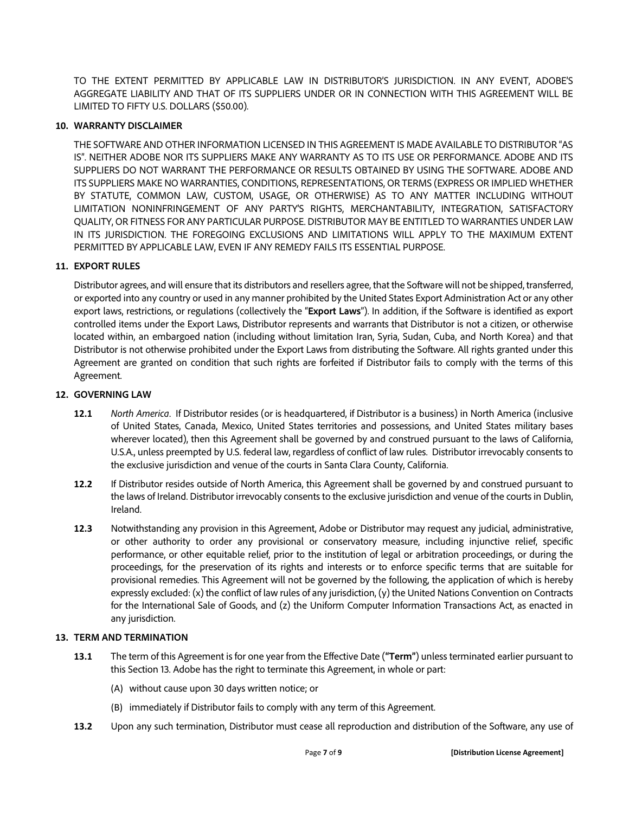TO THE EXTENT PERMITTED BY APPLICABLE LAW IN DISTRIBUTOR'S JURISDICTION. IN ANY EVENT, ADOBE'S AGGREGATE LIABILITY AND THAT OF ITS SUPPLIERS UNDER OR IN CONNECTION WITH THIS AGREEMENT WILL BE LIMITED TO FIFTY U.S. DOLLARS (\$50.00).

#### **10. WARRANTY DISCLAIMER**

THE SOFTWARE AND OTHER INFORMATION LICENSED IN THIS AGREEMENT IS MADE AVAILABLE TO DISTRIBUTOR "AS IS". NEITHER ADOBE NOR ITS SUPPLIERS MAKE ANY WARRANTY AS TO ITS USE OR PERFORMANCE. ADOBE AND ITS SUPPLIERS DO NOT WARRANT THE PERFORMANCE OR RESULTS OBTAINED BY USING THE SOFTWARE. ADOBE AND ITS SUPPLIERS MAKE NO WARRANTIES, CONDITIONS, REPRESENTATIONS, OR TERMS (EXPRESS OR IMPLIED WHETHER BY STATUTE, COMMON LAW, CUSTOM, USAGE, OR OTHERWISE) AS TO ANY MATTER INCLUDING WITHOUT LIMITATION NONINFRINGEMENT OF ANY PARTY'S RIGHTS, MERCHANTABILITY, INTEGRATION, SATISFACTORY QUALITY, OR FITNESS FOR ANY PARTICULAR PURPOSE. DISTRIBUTOR MAY BE ENTITLED TO WARRANTIES UNDER LAW IN ITS JURISDICTION. THE FOREGOING EXCLUSIONS AND LIMITATIONS WILL APPLY TO THE MAXIMUM EXTENT PERMITTED BY APPLICABLE LAW, EVEN IF ANY REMEDY FAILS ITS ESSENTIAL PURPOSE.

## **11. EXPORT RULES**

Distributor agrees, and will ensure that its distributors and resellers agree, that the Software will not be shipped, transferred, or exported into any country or used in any manner prohibited by the United States Export Administration Act or any other export laws, restrictions, or regulations (collectively the "**Export Laws**"). In addition, if the Software is identified as export controlled items under the Export Laws, Distributor represents and warrants that Distributor is not a citizen, or otherwise located within, an embargoed nation (including without limitation Iran, Syria, Sudan, Cuba, and North Korea) and that Distributor is not otherwise prohibited under the Export Laws from distributing the Software. All rights granted under this Agreement are granted on condition that such rights are forfeited if Distributor fails to comply with the terms of this Agreement.

#### **12. GOVERNING LAW**

- **12.1** *North America*. If Distributor resides (or is headquartered, if Distributor is a business) in North America (inclusive of United States, Canada, Mexico, United States territories and possessions, and United States military bases wherever located), then this Agreement shall be governed by and construed pursuant to the laws of California, U.S.A., unless preempted by U.S. federal law, regardless of conflict of law rules. Distributor irrevocably consents to the exclusive jurisdiction and venue of the courts in Santa Clara County, California.
- **12.2** If Distributor resides outside of North America, this Agreement shall be governed by and construed pursuant to the laws of Ireland. Distributor irrevocably consents to the exclusive jurisdiction and venue of the courts in Dublin, Ireland.
- **12.3** Notwithstanding any provision in this Agreement, Adobe or Distributor may request any judicial, administrative, or other authority to order any provisional or conservatory measure, including injunctive relief, specific performance, or other equitable relief, prior to the institution of legal or arbitration proceedings, or during the proceedings, for the preservation of its rights and interests or to enforce specific terms that are suitable for provisional remedies. This Agreement will not be governed by the following, the application of which is hereby expressly excluded: (x) the conflict of law rules of any jurisdiction, (y) the United Nations Convention on Contracts for the International Sale of Goods, and (z) the Uniform Computer Information Transactions Act, as enacted in any jurisdiction.

## **13. TERM AND TERMINATION**

- **13.1** The term of this Agreement is for one year from the Effective Date (**"Term"**) unless terminated earlier pursuant to this Section 13. Adobe has the right to terminate this Agreement, in whole or part:
	- (A) without cause upon 30 days written notice; or
	- (B) immediately if Distributor fails to comply with any term of this Agreement.
- **13.2** Upon any such termination, Distributor must cease all reproduction and distribution of the Software, any use of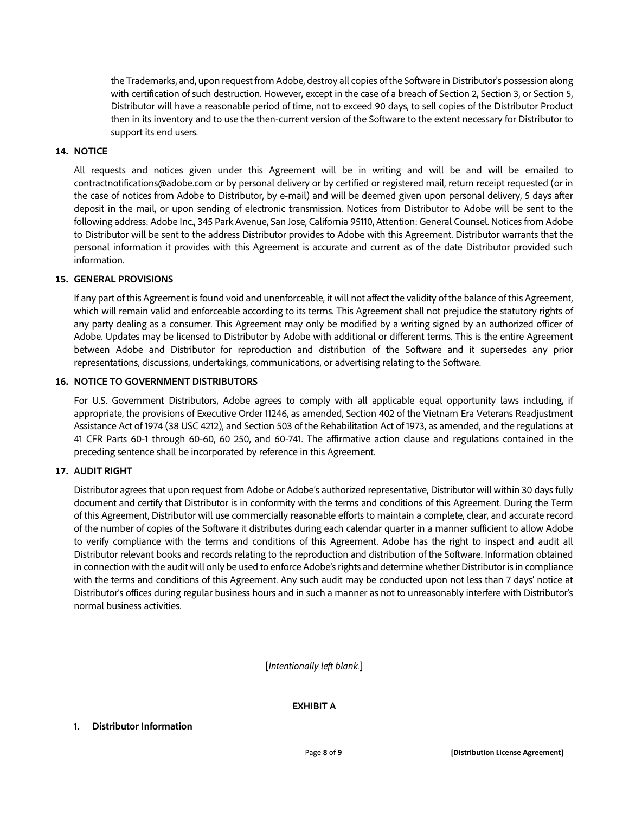the Trademarks, and, upon request from Adobe, destroy all copies of the Software in Distributor's possession along with certification of such destruction. However, except in the case of a breach of Section [2,](#page-1-0) Section [3,](#page-4-0) or Sectio[n 5,](#page-5-0)  Distributor will have a reasonable period of time, not to exceed 90 days, to sell copies of the Distributor Product then in its inventory and to use the then-current version of the Software to the extent necessary for Distributor to support its end users.

#### **14. NOTICE**

All requests and notices given under this Agreement will be in writing and will be and will be emailed to contractnotifications@adobe.com or by personal delivery or by certified or registered mail, return receipt requested (or in the case of notices from Adobe to Distributor, by e-mail) and will be deemed given upon personal delivery, 5 days after deposit in the mail, or upon sending of electronic transmission. Notices from Distributor to Adobe will be sent to the following address: Adobe Inc., 345 Park Avenue, San Jose, California 95110, Attention: General Counsel. Notices from Adobe to Distributor will be sent to the address Distributor provides to Adobe with this Agreement. Distributor warrants that the personal information it provides with this Agreement is accurate and current as of the date Distributor provided such information.

#### **15. GENERAL PROVISIONS**

If any part of this Agreement is found void and unenforceable, it will not affect the validity of the balance of this Agreement, which will remain valid and enforceable according to its terms. This Agreement shall not prejudice the statutory rights of any party dealing as a consumer. This Agreement may only be modified by a writing signed by an authorized officer of Adobe. Updates may be licensed to Distributor by Adobe with additional or different terms. This is the entire Agreement between Adobe and Distributor for reproduction and distribution of the Software and it supersedes any prior representations, discussions, undertakings, communications, or advertising relating to the Software.

## **16. NOTICE TO GOVERNMENT DISTRIBUTORS**

For U.S. Government Distributors, Adobe agrees to comply with all applicable equal opportunity laws including, if appropriate, the provisions of Executive Order 11246, as amended, Section 402 of the Vietnam Era Veterans Readjustment Assistance Act of 1974 (38 USC 4212), and Section 503 of the Rehabilitation Act of 1973, as amended, and the regulations at 41 CFR Parts 60-1 through 60-60, 60 250, and 60-741. The affirmative action clause and regulations contained in the preceding sentence shall be incorporated by reference in this Agreement.

## **17. AUDIT RIGHT**

Distributor agrees that upon request from Adobe or Adobe's authorized representative, Distributor will within 30 days fully document and certify that Distributor is in conformity with the terms and conditions of this Agreement. During the Term of this Agreement, Distributor will use commercially reasonable efforts to maintain a complete, clear, and accurate record of the number of copies of the Software it distributes during each calendar quarter in a manner sufficient to allow Adobe to verify compliance with the terms and conditions of this Agreement. Adobe has the right to inspect and audit all Distributor relevant books and records relating to the reproduction and distribution of the Software. Information obtained in connection with the audit will only be used to enforce Adobe's rights and determine whether Distributor is in compliance with the terms and conditions of this Agreement. Any such audit may be conducted upon not less than 7 days' notice at Distributor's offices during regular business hours and in such a manner as not to unreasonably interfere with Distributor's normal business activities.

[*Intentionally left blank.*]

## **EXHIBIT A**

#### **1. Distributor Information**